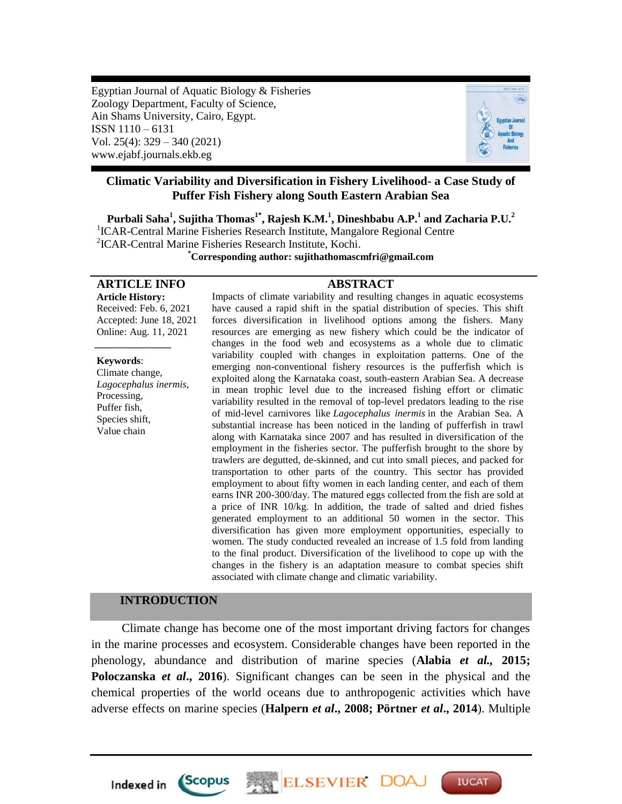Egyptian Journal of Aquatic Biology & Fisheries Zoology Department, Faculty of Science, Ain Shams University, Cairo, Egypt. ISSN 1110 – 6131 Vol. 25(4): 329 – 340 (2021) www.ejabf.journals.ekb.eg



# **Climatic Variability and Diversification in Fishery Livelihood- a Case Study of Puffer Fish Fishery along South Eastern Arabian Sea**

**Purbali Saha<sup>1</sup> , Sujitha Thomas1\* , Rajesh K.M.<sup>1</sup> , Dineshbabu A.P.<sup>1</sup> and Zacharia P.U.<sup>2</sup>** <sup>1</sup>ICAR-Central Marine Fisheries Research Institute, Mangalore Regional Centre 2 ICAR-Central Marine Fisheries Research Institute, Kochi.

**\*Corresponding author: sujithathomascmfri@gmail.com**

# **ARTICLE INFO ABSTRACT**

**Article History:** Received: Feb. 6, 2021 Accepted: June 18, 2021 Online: Aug. 11, 2021

#### **Keywords**:

*\_\_\_\_\_\_\_\_\_\_\_\_\_\_\_*

Climate change, *Lagocephalus inermis*, Processing, Puffer fish, Species shift, Value chain

Impacts of climate variability and resulting changes in aquatic ecosystems have caused a rapid shift in the spatial distribution of species. This shift forces diversification in livelihood options among the fishers. Many resources are emerging as new fishery which could be the indicator of changes in the food web and ecosystems as a whole due to climatic variability coupled with changes in exploitation patterns. One of the emerging non-conventional fishery resources is the pufferfish which is exploited along the Karnataka coast, south-eastern Arabian Sea. A decrease in mean trophic level due to the increased fishing effort or climatic variability resulted in the removal of top-level predators leading to the rise of mid-level carnivores like *Lagocephalus inermis* in the Arabian Sea. A substantial increase has been noticed in the landing of pufferfish in trawl along with Karnataka since 2007 and has resulted in diversification of the employment in the fisheries sector. The pufferfish brought to the shore by trawlers are degutted, de-skinned, and cut into small pieces, and packed for transportation to other parts of the country. This sector has provided employment to about fifty women in each landing center, and each of them earns INR 200-300/day. The matured eggs collected from the fish are sold at a price of INR 10/kg. In addition, the trade of salted and dried fishes generated employment to an additional 50 women in the sector. This diversification has given more employment opportunities, especially to women. The study conducted revealed an increase of 1.5 fold from landing to the final product. Diversification of the livelihood to cope up with the changes in the fishery is an adaptation measure to combat species shift associated with climate change and climatic variability.

# **INTRODUCTION**

*Scopus* 

**Indexed in** 

 Climate change has become one of the most important driving factors for changes in the marine processes and ecosystem. Considerable changes have been reported in the phenology, abundance and distribution of marine species (**Alabia** *et al.,* **2015; Poloczanska** *et al***., 2016**). Significant changes can be seen in the physical and the chemical properties of the world oceans due to anthropogenic activities which have adverse effects on marine species (**Halpern** *et al***., 2008; Pörtner** *et al***., 2014**). Multiple

ELSEVIER DOA

**IUCAT**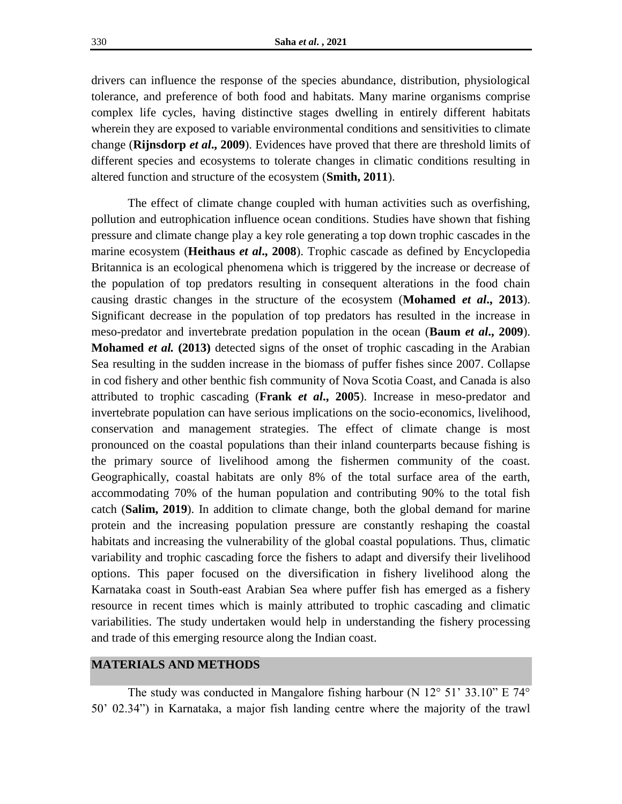drivers can influence the response of the species abundance, distribution, physiological tolerance, and preference of both food and habitats. Many marine organisms comprise complex life cycles, having distinctive stages dwelling in entirely different habitats wherein they are exposed to variable environmental conditions and sensitivities to climate change (**Rijnsdorp** *et al***., 2009**). Evidences have proved that there are threshold limits of different species and ecosystems to tolerate changes in climatic conditions resulting in altered function and structure of the ecosystem (**Smith, 2011**).

The effect of climate change coupled with human activities such as overfishing, pollution and eutrophication influence ocean conditions. Studies have shown that fishing pressure and climate change play a key role generating a top down trophic cascades in the marine ecosystem (**Heithaus** *et al***., 2008**). Trophic cascade as defined by Encyclopedia Britannica is an ecological phenomena which is triggered by the increase or decrease of the population of top predators resulting in consequent alterations in the food chain causing drastic changes in the structure of the ecosystem (**Mohamed** *et al***., 2013**). Significant decrease in the population of top predators has resulted in the increase in meso-predator and invertebrate predation population in the ocean (**Baum** *et al***., 2009**). **Mohamed** *et al.* **(2013)** detected signs of the onset of trophic cascading in the Arabian Sea resulting in the sudden increase in the biomass of puffer fishes since 2007. Collapse in cod fishery and other benthic fish community of Nova Scotia Coast, and Canada is also attributed to trophic cascading (**Frank** *et al***., 2005**). Increase in meso-predator and invertebrate population can have serious implications on the socio-economics, livelihood, conservation and management strategies. The effect of climate change is most pronounced on the coastal populations than their inland counterparts because fishing is the primary source of livelihood among the fishermen community of the coast. Geographically, coastal habitats are only 8% of the total surface area of the earth, accommodating 70% of the human population and contributing 90% to the total fish catch (**Salim, 2019**). In addition to climate change, both the global demand for marine protein and the increasing population pressure are constantly reshaping the coastal habitats and increasing the vulnerability of the global coastal populations. Thus, climatic variability and trophic cascading force the fishers to adapt and diversify their livelihood options. This paper focused on the diversification in fishery livelihood along the Karnataka coast in South-east Arabian Sea where puffer fish has emerged as a fishery resource in recent times which is mainly attributed to trophic cascading and climatic variabilities. The study undertaken would help in understanding the fishery processing and trade of this emerging resource along the Indian coast.

# **MATERIALS AND METHODS**

The study was conducted in Mangalore fishing harbour (N 12° 51' 33.10" E 74° 50' 02.34") in Karnataka, a major fish landing centre where the majority of the trawl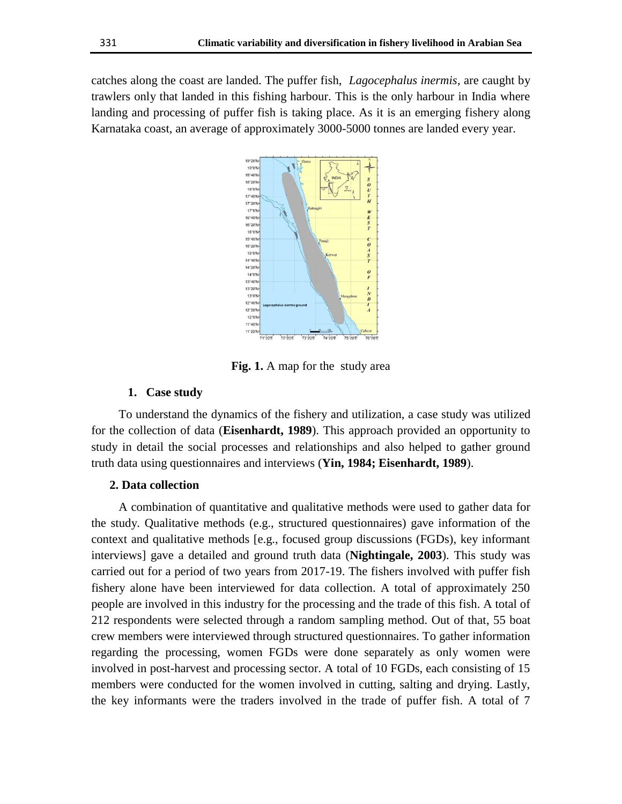catches along the coast are landed. The puffer fish, *Lagocephalus inermis*, are caught by trawlers only that landed in this fishing harbour. This is the only harbour in India where landing and processing of puffer fish is taking place. As it is an emerging fishery along Karnataka coast, an average of approximately 3000-5000 tonnes are landed every year.



**Fig. 1.** A map for the study area

### **1. Case study**

 To understand the dynamics of the fishery and utilization, a case study was utilized for the collection of data (**Eisenhardt, 1989**). This approach provided an opportunity to study in detail the social processes and relationships and also helped to gather ground truth data using questionnaires and interviews (**Yin, 1984; Eisenhardt, 1989**).

# **2. Data collection**

 A combination of quantitative and qualitative methods were used to gather data for the study. Qualitative methods (e.g., structured questionnaires) gave information of the context and qualitative methods [e.g., focused group discussions (FGDs), key informant interviews] gave a detailed and ground truth data (**Nightingale, 2003**). This study was carried out for a period of two years from 2017-19. The fishers involved with puffer fish fishery alone have been interviewed for data collection. A total of approximately 250 people are involved in this industry for the processing and the trade of this fish. A total of 212 respondents were selected through a random sampling method. Out of that, 55 boat crew members were interviewed through structured questionnaires. To gather information regarding the processing, women FGDs were done separately as only women were involved in post-harvest and processing sector. A total of 10 FGDs, each consisting of 15 members were conducted for the women involved in cutting, salting and drying. Lastly, the key informants were the traders involved in the trade of puffer fish. A total of 7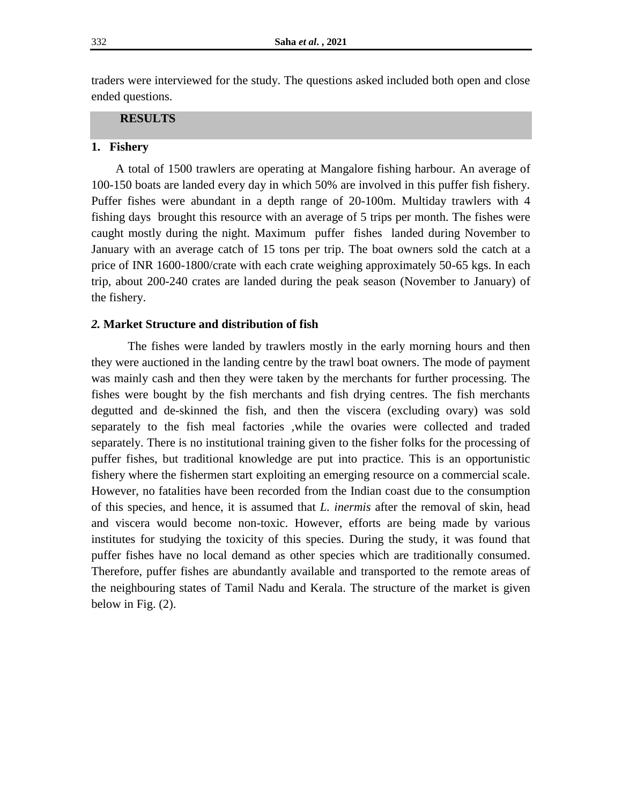traders were interviewed for the study. The questions asked included both open and close ended questions.

# **RESULTS**

#### **1. Fishery**

 A total of 1500 trawlers are operating at Mangalore fishing harbour. An average of 100-150 boats are landed every day in which 50% are involved in this puffer fish fishery. Puffer fishes were abundant in a depth range of 20-100m. Multiday trawlers with 4 fishing days brought this resource with an average of 5 trips per month. The fishes were caught mostly during the night. Maximum puffer fishes landed during November to January with an average catch of 15 tons per trip. The boat owners sold the catch at a price of INR 1600-1800/crate with each crate weighing approximately 50-65 kgs. In each trip, about 200-240 crates are landed during the peak season (November to January) of the fishery.

## *2.* **Market Structure and distribution of fish**

The fishes were landed by trawlers mostly in the early morning hours and then they were auctioned in the landing centre by the trawl boat owners. The mode of payment was mainly cash and then they were taken by the merchants for further processing. The fishes were bought by the fish merchants and fish drying centres. The fish merchants degutted and de-skinned the fish, and then the viscera (excluding ovary) was sold separately to the fish meal factories ,while the ovaries were collected and traded separately. There is no institutional training given to the fisher folks for the processing of puffer fishes, but traditional knowledge are put into practice. This is an opportunistic fishery where the fishermen start exploiting an emerging resource on a commercial scale. However, no fatalities have been recorded from the Indian coast due to the consumption of this species, and hence, it is assumed that *L. inermis* after the removal of skin, head and viscera would become non-toxic. However, efforts are being made by various institutes for studying the toxicity of this species. During the study, it was found that puffer fishes have no local demand as other species which are traditionally consumed. Therefore, puffer fishes are abundantly available and transported to the remote areas of the neighbouring states of Tamil Nadu and Kerala. The structure of the market is given below in Fig.  $(2)$ .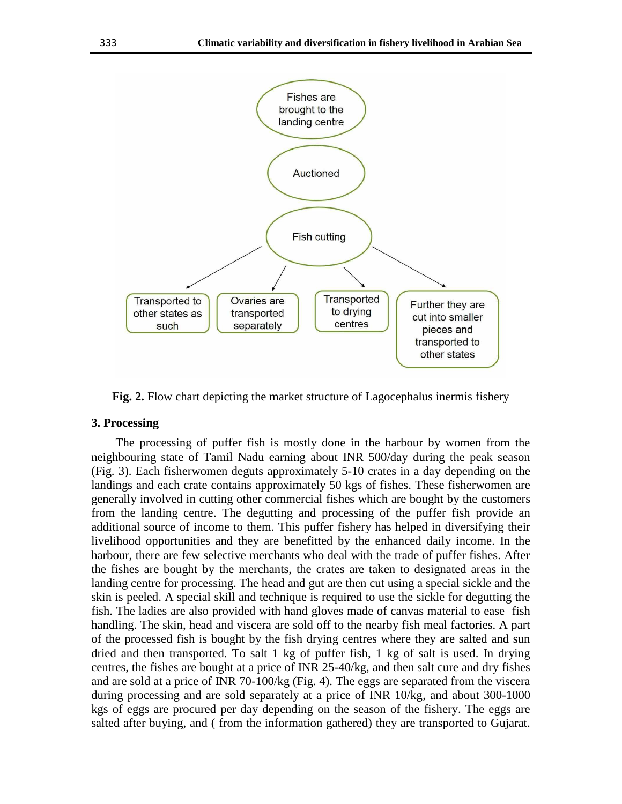

**Fig. 2.** Flow chart depicting the market structure of Lagocephalus inermis fishery

## **3. Processing**

 The processing of puffer fish is mostly done in the harbour by women from the neighbouring state of Tamil Nadu earning about INR 500/day during the peak season (Fig. 3). Each fisherwomen deguts approximately 5-10 crates in a day depending on the landings and each crate contains approximately 50 kgs of fishes. These fisherwomen are generally involved in cutting other commercial fishes which are bought by the customers from the landing centre. The degutting and processing of the puffer fish provide an additional source of income to them. This puffer fishery has helped in diversifying their livelihood opportunities and they are benefitted by the enhanced daily income. In the harbour, there are few selective merchants who deal with the trade of puffer fishes. After the fishes are bought by the merchants, the crates are taken to designated areas in the landing centre for processing. The head and gut are then cut using a special sickle and the skin is peeled. A special skill and technique is required to use the sickle for degutting the fish. The ladies are also provided with hand gloves made of canvas material to ease fish handling. The skin, head and viscera are sold off to the nearby fish meal factories. A part of the processed fish is bought by the fish drying centres where they are salted and sun dried and then transported. To salt 1 kg of puffer fish, 1 kg of salt is used. In drying centres, the fishes are bought at a price of INR 25-40/kg, and then salt cure and dry fishes and are sold at a price of INR 70-100/kg (Fig. 4). The eggs are separated from the viscera during processing and are sold separately at a price of INR 10/kg, and about 300-1000 kgs of eggs are procured per day depending on the season of the fishery. The eggs are salted after buying, and ( from the information gathered) they are transported to Gujarat.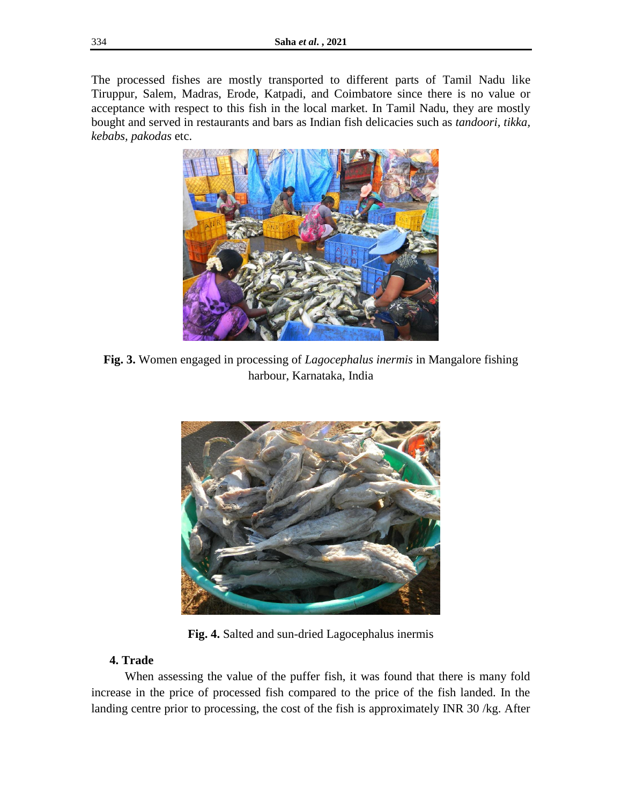The processed fishes are mostly transported to different parts of Tamil Nadu like Tiruppur, Salem, Madras, Erode, Katpadi, and Coimbatore since there is no value or acceptance with respect to this fish in the local market. In Tamil Nadu, they are mostly bought and served in restaurants and bars as Indian fish delicacies such as *tandoori, tikka, kebabs, pakodas* etc.



**Fig. 3.** Women engaged in processing of *Lagocephalus inermis* in Mangalore fishing harbour, Karnataka, India



**Fig. 4.** Salted and sun-dried Lagocephalus inermis

# **4. Trade**

 When assessing the value of the puffer fish, it was found that there is many fold increase in the price of processed fish compared to the price of the fish landed. In the landing centre prior to processing, the cost of the fish is approximately INR 30 /kg. After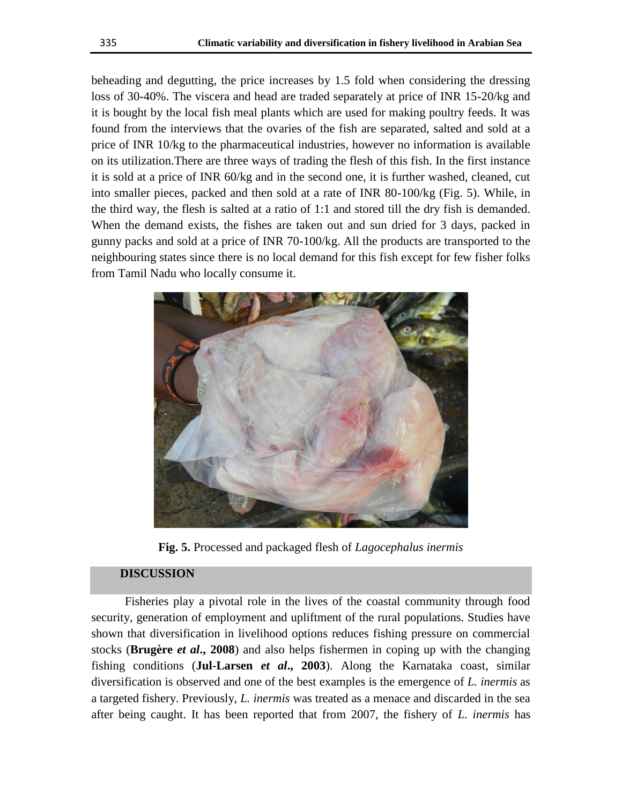beheading and degutting, the price increases by 1.5 fold when considering the dressing loss of 30-40%. The viscera and head are traded separately at price of INR 15-20/kg and it is bought by the local fish meal plants which are used for making poultry feeds. It was found from the interviews that the ovaries of the fish are separated, salted and sold at a price of INR 10/kg to the pharmaceutical industries, however no information is available on its utilization.There are three ways of trading the flesh of this fish. In the first instance it is sold at a price of INR 60/kg and in the second one, it is further washed, cleaned, cut into smaller pieces, packed and then sold at a rate of INR 80-100/kg (Fig. 5). While, in the third way, the flesh is salted at a ratio of 1:1 and stored till the dry fish is demanded. When the demand exists, the fishes are taken out and sun dried for 3 days, packed in gunny packs and sold at a price of INR 70-100/kg. All the products are transported to the neighbouring states since there is no local demand for this fish except for few fisher folks from Tamil Nadu who locally consume it.



**Fig. 5.** Processed and packaged flesh of *Lagocephalus inermis*

# **DISCUSSION**

 Fisheries play a pivotal role in the lives of the coastal community through food security, generation of employment and upliftment of the rural populations. Studies have shown that diversification in livelihood options reduces fishing pressure on commercial stocks (**Brugère** *et al***., 2008**) and also helps fishermen in coping up with the changing fishing conditions (**Jul-Larsen** *et al***., 2003**). Along the Karnataka coast, similar diversification is observed and one of the best examples is the emergence of *L. inermis* as a targeted fishery. Previously, *L. inermis* was treated as a menace and discarded in the sea after being caught. It has been reported that from 2007, the fishery of *L. inermis* has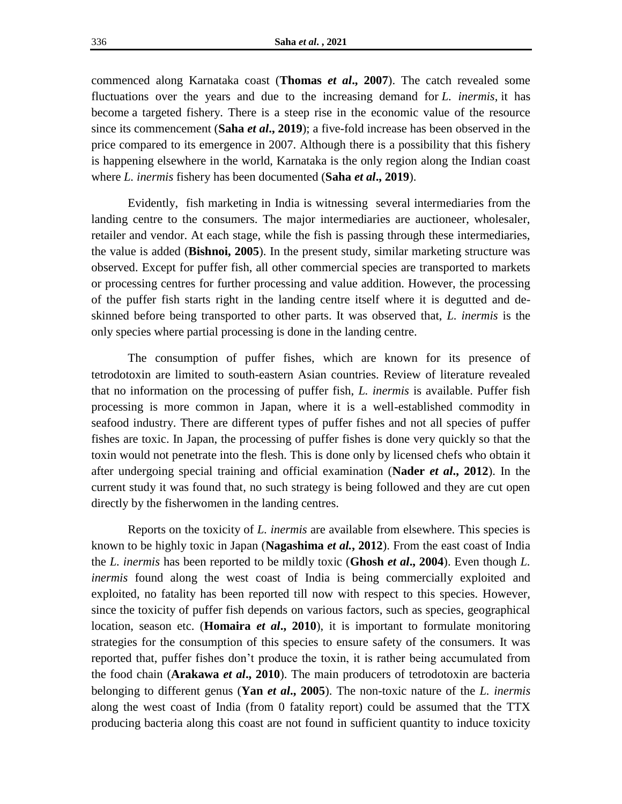commenced along Karnataka coast (**Thomas** *et al***., 2007**). The catch revealed some fluctuations over the years and due to the increasing demand for *L. inermis*, it has become a targeted fishery. There is a steep rise in the economic value of the resource since its commencement (**Saha** *et al***., 2019**); a five-fold increase has been observed in the price compared to its emergence in 2007. Although there is a possibility that this fishery is happening elsewhere in the world, Karnataka is the only region along the Indian coast where *L. inermis* fishery has been documented (**Saha** *et al***., 2019**).

Evidently, fish marketing in India is witnessing several intermediaries from the landing centre to the consumers. The major intermediaries are auctioneer, wholesaler, retailer and vendor. At each stage, while the fish is passing through these intermediaries, the value is added (**Bishnoi, 2005**). In the present study, similar marketing structure was observed. Except for puffer fish, all other commercial species are transported to markets or processing centres for further processing and value addition. However, the processing of the puffer fish starts right in the landing centre itself where it is degutted and deskinned before being transported to other parts. It was observed that, *L. inermis* is the only species where partial processing is done in the landing centre.

The consumption of puffer fishes, which are known for its presence of tetrodotoxin are limited to south-eastern Asian countries. Review of literature revealed that no information on the processing of puffer fish, *L. inermis* is available. Puffer fish processing is more common in Japan, where it is a well-established commodity in seafood industry. There are different types of puffer fishes and not all species of puffer fishes are toxic. In Japan, the processing of puffer fishes is done very quickly so that the toxin would not penetrate into the flesh. This is done only by licensed chefs who obtain it after undergoing special training and official examination (**Nader** *et al***., 2012**). In the current study it was found that, no such strategy is being followed and they are cut open directly by the fisherwomen in the landing centres.

Reports on the toxicity of *L. inermis* are available from elsewhere. This species is known to be highly toxic in Japan (**Nagashima** *et al.***, 2012**). From the east coast of India the *L. inermis* has been reported to be mildly toxic (**Ghosh** *et al***., 2004**). Even though *L. inermis* found along the west coast of India is being commercially exploited and exploited, no fatality has been reported till now with respect to this species. However, since the toxicity of puffer fish depends on various factors, such as species, geographical location, season etc. (**Homaira** *et al***., 2010**), it is important to formulate monitoring strategies for the consumption of this species to ensure safety of the consumers. It was reported that, puffer fishes don't produce the toxin, it is rather being accumulated from the food chain (**Arakawa** *et al***., 2010**). The main producers of tetrodotoxin are bacteria belonging to different genus (**Yan** *et al***., 2005**). The non-toxic nature of the *L. inermis* along the west coast of India (from 0 fatality report) could be assumed that the TTX producing bacteria along this coast are not found in sufficient quantity to induce toxicity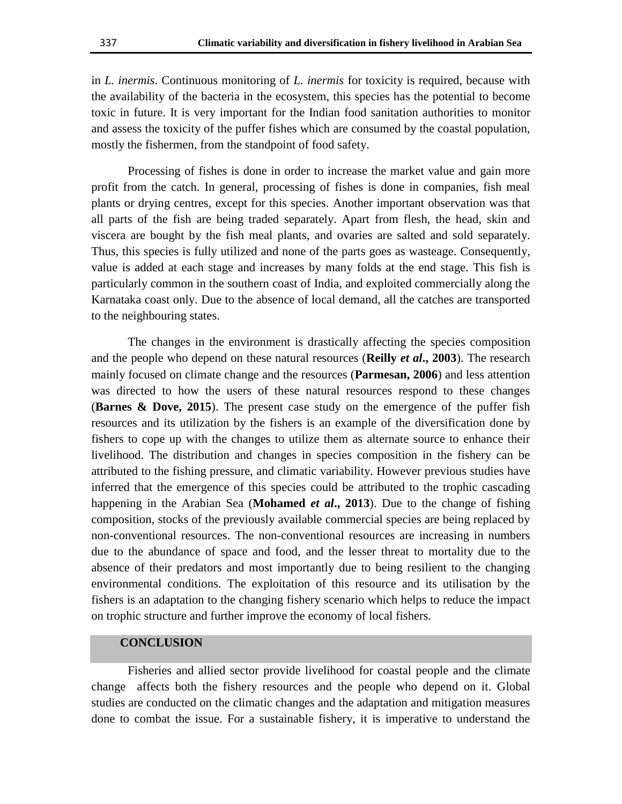in *L. inermis*. Continuous monitoring of *L. inermis* for toxicity is required, because with the availability of the bacteria in the ecosystem, this species has the potential to become toxic in future. It is very important for the Indian food sanitation authorities to monitor and assess the toxicity of the puffer fishes which are consumed by the coastal population, mostly the fishermen, from the standpoint of food safety.

Processing of fishes is done in order to increase the market value and gain more profit from the catch. In general, processing of fishes is done in companies, fish meal plants or drying centres, except for this species. Another important observation was that all parts of the fish are being traded separately. Apart from flesh, the head, skin and viscera are bought by the fish meal plants, and ovaries are salted and sold separately. Thus, this species is fully utilized and none of the parts goes as wasteage. Consequently, value is added at each stage and increases by many folds at the end stage. This fish is particularly common in the southern coast of India, and exploited commercially along the Karnataka coast only. Due to the absence of local demand, all the catches are transported to the neighbouring states.

The changes in the environment is drastically affecting the species composition and the people who depend on these natural resources (**Reilly** *et al***., 2003**). The research mainly focused on climate change and the resources (**Parmesan, 2006**) and less attention was directed to how the users of these natural resources respond to these changes (**Barnes & Dove, 2015**). The present case study on the emergence of the puffer fish resources and its utilization by the fishers is an example of the diversification done by fishers to cope up with the changes to utilize them as alternate source to enhance their livelihood. The distribution and changes in species composition in the fishery can be attributed to the fishing pressure, and climatic variability. However previous studies have inferred that the emergence of this species could be attributed to the trophic cascading happening in the Arabian Sea (**Mohamed** *et al***., 2013**). Due to the change of fishing composition, stocks of the previously available commercial species are being replaced by non-conventional resources. The non-conventional resources are increasing in numbers due to the abundance of space and food, and the lesser threat to mortality due to the absence of their predators and most importantly due to being resilient to the changing environmental conditions. The exploitation of this resource and its utilisation by the fishers is an adaptation to the changing fishery scenario which helps to reduce the impact on trophic structure and further improve the economy of local fishers.

# **CONCLUSION**

 Fisheries and allied sector provide livelihood for coastal people and the climate change affects both the fishery resources and the people who depend on it. Global studies are conducted on the climatic changes and the adaptation and mitigation measures done to combat the issue. For a sustainable fishery, it is imperative to understand the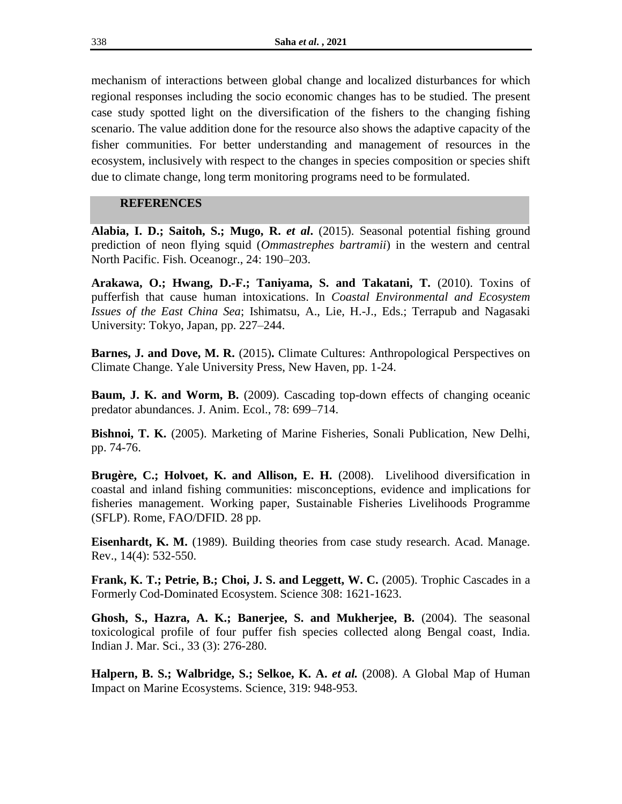mechanism of interactions between global change and localized disturbances for which regional responses including the socio economic changes has to be studied. The present case study spotted light on the diversification of the fishers to the changing fishing scenario. The value addition done for the resource also shows the adaptive capacity of the fisher communities. For better understanding and management of resources in the ecosystem, inclusively with respect to the changes in species composition or species shift due to climate change, long term monitoring programs need to be formulated.

# **REFERENCES**

**Alabia, I. D.; Saitoh, S.; Mugo, R.** *et al***.** (2015). Seasonal potential fishing ground prediction of neon flying squid (*Ommastrephes bartramii*) in the western and central North Pacific. Fish. Oceanogr., 24: 190–203.

**Arakawa, O.; Hwang, D.-F.; Taniyama, S. and Takatani, T.** (2010). Toxins of pufferfish that cause human intoxications. In *Coastal Environmental and Ecosystem Issues of the East China Sea*; Ishimatsu, A., Lie, H.-J., Eds.; Terrapub and Nagasaki University: Tokyo, Japan, pp. 227–244.

**Barnes, J. and Dove, M. R.** (2015). Climate Cultures: Anthropological Perspectives on Climate Change. Yale University Press, New Haven, pp. 1-24.

**Baum, J. K. and Worm, B.** (2009). Cascading top-down effects of changing oceanic predator abundances. J. Anim. Ecol., 78: 699–714.

**Bishnoi, T. K.** (2005). Marketing of Marine Fisheries, Sonali Publication, New Delhi, pp. 74-76.

**Brugère, C.; Holvoet, K. and Allison, E. H.** (2008). Livelihood diversification in coastal and inland fishing communities: misconceptions, evidence and implications for fisheries management. Working paper, Sustainable Fisheries Livelihoods Programme (SFLP). Rome, FAO/DFID. 28 pp.

**Eisenhardt, K. M.** (1989). Building theories from case study research. Acad. Manage. Rev., 14(4): 532-550.

**Frank, K. T.; Petrie, B.; Choi, J. S. and Leggett, W. C.** (2005). Trophic Cascades in a Formerly Cod-Dominated Ecosystem. Science 308: 1621-1623.

**Ghosh, S., Hazra, A. K.; Banerjee, S. and Mukherjee, B.** (2004). The seasonal toxicological profile of four puffer fish species collected along Bengal coast, India. Indian J. Mar. Sci., 33 (3): 276-280.

**Halpern, B. S.; Walbridge, S.; Selkoe, K. A.** *et al.* (2008). A Global Map of Human Impact on Marine Ecosystems. Science, 319: 948-953.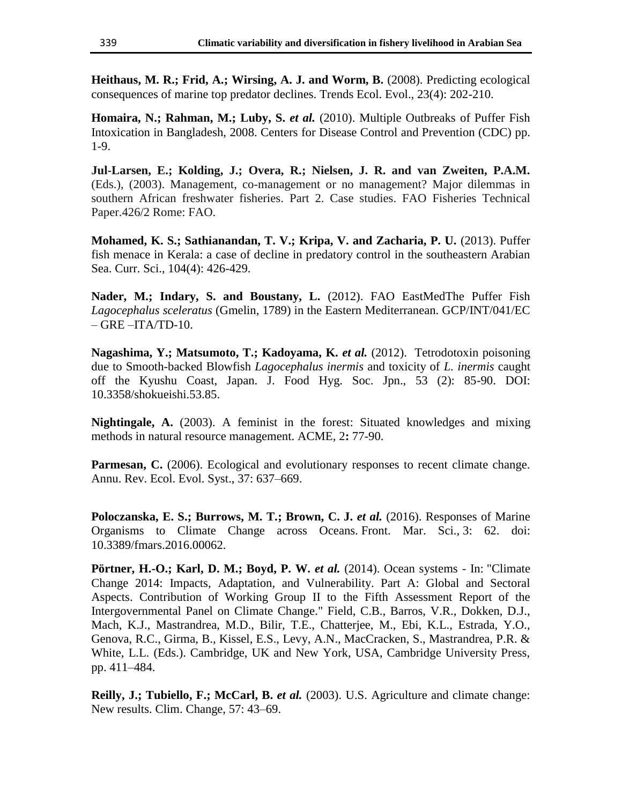**Heithaus, M. R.; Frid, A.; Wirsing, A. J. and Worm, B.** (2008). Predicting ecological consequences of marine top predator declines. Trends Ecol. Evol., 23(4): 202-210.

**Homaira, N.; Rahman, M.; Luby, S.** *et al.* (2010). Multiple Outbreaks of Puffer Fish Intoxication in Bangladesh, 2008. Centers for Disease Control and Prevention (CDC) pp. 1-9.

**Jul-Larsen, E.; Kolding, J.; Overa, R.; Nielsen, J. R. and van Zweiten, P.A.M.** (Eds.), (2003). Management, co-management or no management? Major dilemmas in southern African freshwater fisheries. Part 2. Case studies. FAO Fisheries Technical Paper.426/2 Rome: FAO.

**Mohamed, K. S.; Sathianandan, T. V.; Kripa, V. and Zacharia, P. U.** (2013). Puffer fish menace in Kerala: a case of decline in predatory control in the southeastern Arabian Sea. Curr. Sci., 104(4): 426-429.

Nader, M.; Indary, S. and Boustany, L. (2012). FAO EastMedThe Puffer Fish *Lagocephalus sceleratus* (Gmelin, 1789) in the Eastern Mediterranean. GCP/INT/041/EC  $-$  GRE  $-$ ITA/TD-10.

**Nagashima, Y.; Matsumoto, T.; Kadoyama, K.** *et al.* (2012). Tetrodotoxin poisoning due to Smooth-backed Blowfish *Lagocephalus inermis* and toxicity of *L. inermis* caught off the Kyushu Coast, Japan. J. Food Hyg. Soc. Jpn., 53 (2): 85-90. DOI: 10.3358/shokueishi.53.85.

**Nightingale, A.** (2003). A feminist in the forest: Situated knowledges and mixing methods in natural resource management. ACME, 2**:** 77-90.

**Parmesan, C.** (2006). Ecological and evolutionary responses to recent climate change. Annu. Rev. Ecol. Evol. Syst., 37: 637–669.

**Poloczanska, E. S.; Burrows, M. T.; Brown, C. J.** *et al.* **(2016). Responses of Marine** Organisms to Climate Change across Oceans. Front. Mar. Sci., 3: 62. doi: 10.3389/fmars.2016.00062.

**Pörtner, H.-O.; Karl, D. M.; Boyd, P. W.** *et al.* (2014). Ocean systems - In: "Climate Change 2014: Impacts, Adaptation, and Vulnerability. Part A: Global and Sectoral Aspects. Contribution of Working Group II to the Fifth Assessment Report of the Intergovernmental Panel on Climate Change." Field, C.B., Barros, V.R., Dokken, D.J., Mach, K.J., Mastrandrea, M.D., Bilir, T.E., Chatterjee, M., Ebi, K.L., Estrada, Y.O., Genova, R.C., Girma, B., Kissel, E.S., Levy, A.N., MacCracken, S., Mastrandrea, P.R. & White, L.L. (Eds.). Cambridge, UK and New York, USA, Cambridge University Press, pp. 411–484.

**Reilly, J.; Tubiello, F.; McCarl, B.** *et al.* (2003). U.S. Agriculture and climate change: New results. Clim. Change, 57: 43–69.